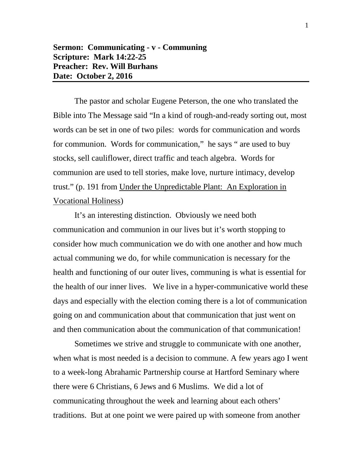The pastor and scholar Eugene Peterson, the one who translated the Bible into The Message said "In a kind of rough-and-ready sorting out, most words can be set in one of two piles: words for communication and words for communion. Words for communication," he says " are used to buy stocks, sell cauliflower, direct traffic and teach algebra. Words for communion are used to tell stories, make love, nurture intimacy, develop trust." (p. 191 from Under the Unpredictable Plant: An Exploration in Vocational Holiness)

It's an interesting distinction. Obviously we need both communication and communion in our lives but it's worth stopping to consider how much communication we do with one another and how much actual communing we do, for while communication is necessary for the health and functioning of our outer lives, communing is what is essential for the health of our inner lives. We live in a hyper-communicative world these days and especially with the election coming there is a lot of communication going on and communication about that communication that just went on and then communication about the communication of that communication!

Sometimes we strive and struggle to communicate with one another, when what is most needed is a decision to commune. A few years ago I went to a week-long Abrahamic Partnership course at Hartford Seminary where there were 6 Christians, 6 Jews and 6 Muslims. We did a lot of communicating throughout the week and learning about each others' traditions. But at one point we were paired up with someone from another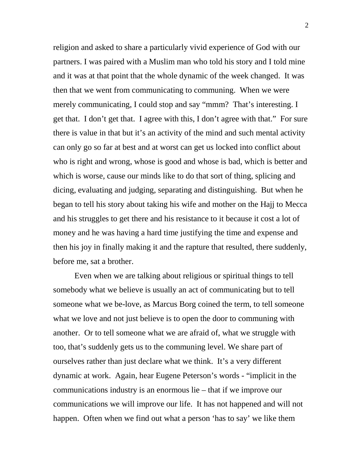religion and asked to share a particularly vivid experience of God with our partners. I was paired with a Muslim man who told his story and I told mine and it was at that point that the whole dynamic of the week changed. It was then that we went from communicating to communing. When we were merely communicating, I could stop and say "mmm? That's interesting. I get that. I don't get that. I agree with this, I don't agree with that." For sure there is value in that but it's an activity of the mind and such mental activity can only go so far at best and at worst can get us locked into conflict about who is right and wrong, whose is good and whose is bad, which is better and which is worse, cause our minds like to do that sort of thing, splicing and dicing, evaluating and judging, separating and distinguishing. But when he began to tell his story about taking his wife and mother on the Hajj to Mecca and his struggles to get there and his resistance to it because it cost a lot of money and he was having a hard time justifying the time and expense and then his joy in finally making it and the rapture that resulted, there suddenly, before me, sat a brother.

Even when we are talking about religious or spiritual things to tell somebody what we believe is usually an act of communicating but to tell someone what we be-love, as Marcus Borg coined the term, to tell someone what we love and not just believe is to open the door to communing with another. Or to tell someone what we are afraid of, what we struggle with too, that's suddenly gets us to the communing level. We share part of ourselves rather than just declare what we think. It's a very different dynamic at work. Again, hear Eugene Peterson's words - "implicit in the communications industry is an enormous lie – that if we improve our communications we will improve our life. It has not happened and will not happen. Often when we find out what a person 'has to say' we like them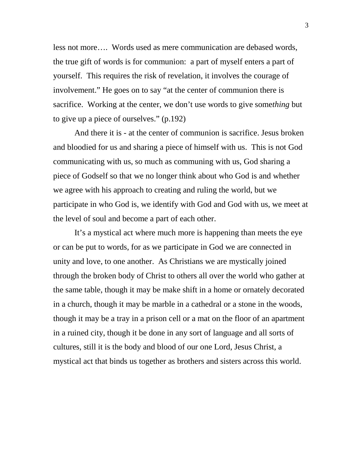less not more…. Words used as mere communication are debased words, the true gift of words is for communion: a part of myself enters a part of yourself. This requires the risk of revelation, it involves the courage of involvement." He goes on to say "at the center of communion there is sacrifice. Working at the center, we don't use words to give some*thing* but to give up a piece of ourselves." (p.192)

And there it is - at the center of communion is sacrifice. Jesus broken and bloodied for us and sharing a piece of himself with us. This is not God communicating with us, so much as communing with us, God sharing a piece of Godself so that we no longer think about who God is and whether we agree with his approach to creating and ruling the world, but we participate in who God is, we identify with God and God with us, we meet at the level of soul and become a part of each other.

It's a mystical act where much more is happening than meets the eye or can be put to words, for as we participate in God we are connected in unity and love, to one another. As Christians we are mystically joined through the broken body of Christ to others all over the world who gather at the same table, though it may be make shift in a home or ornately decorated in a church, though it may be marble in a cathedral or a stone in the woods, though it may be a tray in a prison cell or a mat on the floor of an apartment in a ruined city, though it be done in any sort of language and all sorts of cultures, still it is the body and blood of our one Lord, Jesus Christ, a mystical act that binds us together as brothers and sisters across this world.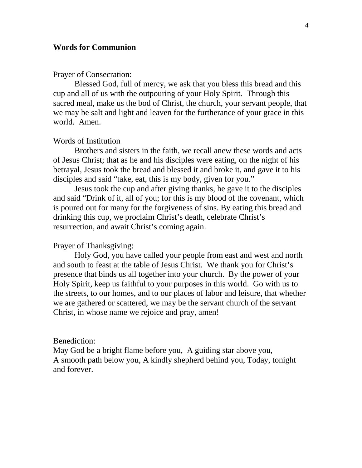# **Words for Communion**

#### Prayer of Consecration:

Blessed God, full of mercy, we ask that you bless this bread and this cup and all of us with the outpouring of your Holy Spirit. Through this sacred meal, make us the bod of Christ, the church, your servant people, that we may be salt and light and leaven for the furtherance of your grace in this world. Amen.

# Words of Institution

Brothers and sisters in the faith, we recall anew these words and acts of Jesus Christ; that as he and his disciples were eating, on the night of his betrayal, Jesus took the bread and blessed it and broke it, and gave it to his disciples and said "take, eat, this is my body, given for you."

Jesus took the cup and after giving thanks, he gave it to the disciples and said "Drink of it, all of you; for this is my blood of the covenant, which is poured out for many for the forgiveness of sins. By eating this bread and drinking this cup, we proclaim Christ's death, celebrate Christ's resurrection, and await Christ's coming again.

## Prayer of Thanksgiving:

Holy God, you have called your people from east and west and north and south to feast at the table of Jesus Christ. We thank you for Christ's presence that binds us all together into your church. By the power of your Holy Spirit, keep us faithful to your purposes in this world. Go with us to the streets, to our homes, and to our places of labor and leisure, that whether we are gathered or scattered, we may be the servant church of the servant Christ, in whose name we rejoice and pray, amen!

#### Benediction:

May God be a bright flame before you, A guiding star above you, A smooth path below you, A kindly shepherd behind you, Today, tonight and forever.